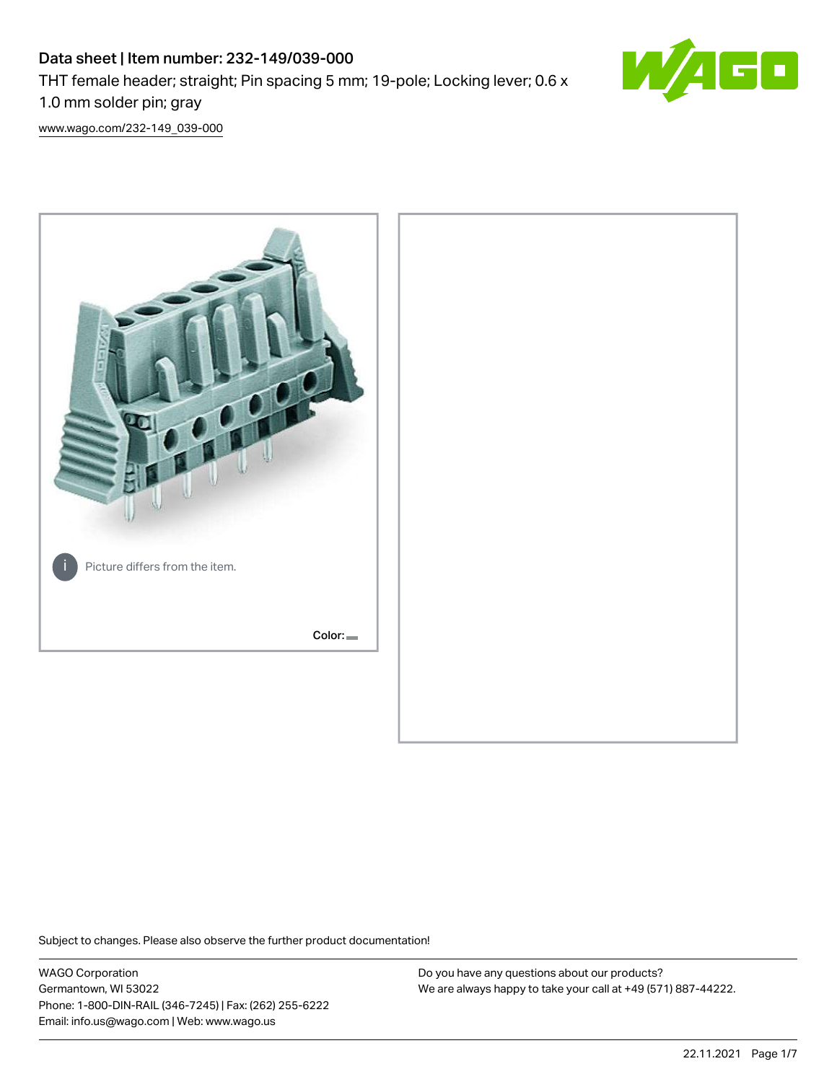# Data sheet | Item number: 232-149/039-000 THT female header; straight; Pin spacing 5 mm; 19-pole; Locking lever; 0.6 x 1.0 mm solder pin; gray



[www.wago.com/232-149\\_039-000](http://www.wago.com/232-149_039-000)



Subject to changes. Please also observe the further product documentation!

WAGO Corporation Germantown, WI 53022 Phone: 1-800-DIN-RAIL (346-7245) | Fax: (262) 255-6222 Email: info.us@wago.com | Web: www.wago.us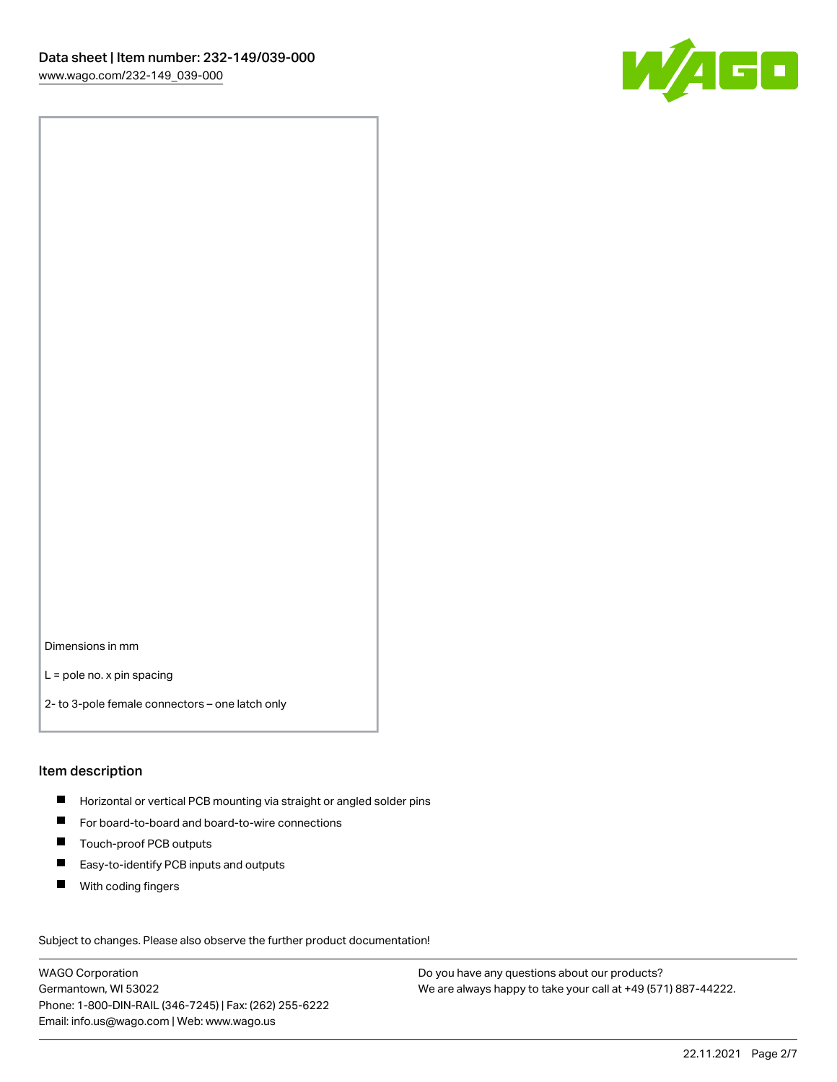

Dimensions in mm

L = pole no. x pin spacing

2- to 3-pole female connectors – one latch only

#### Item description

- **Horizontal or vertical PCB mounting via straight or angled solder pins**
- For board-to-board and board-to-wire connections
- $\blacksquare$ Touch-proof PCB outputs
- $\blacksquare$ Easy-to-identify PCB inputs and outputs
- $\blacksquare$ With coding fingers

Subject to changes. Please also observe the further product documentation! Data

WAGO Corporation Germantown, WI 53022 Phone: 1-800-DIN-RAIL (346-7245) | Fax: (262) 255-6222 Email: info.us@wago.com | Web: www.wago.us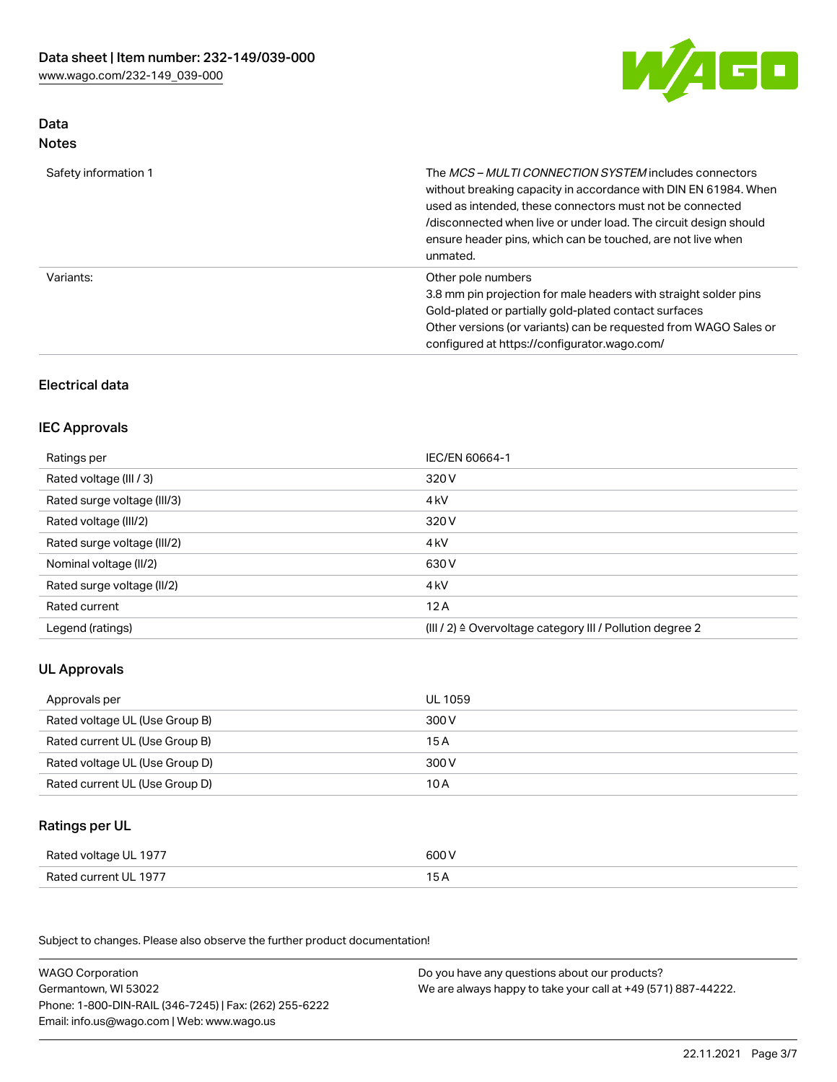

# Data Notes

| Safety information 1 | The MCS-MULTI CONNECTION SYSTEM includes connectors<br>without breaking capacity in accordance with DIN EN 61984. When<br>used as intended, these connectors must not be connected<br>/disconnected when live or under load. The circuit design should<br>ensure header pins, which can be touched, are not live when<br>unmated. |
|----------------------|-----------------------------------------------------------------------------------------------------------------------------------------------------------------------------------------------------------------------------------------------------------------------------------------------------------------------------------|
| Variants:            | Other pole numbers<br>3.8 mm pin projection for male headers with straight solder pins<br>Gold-plated or partially gold-plated contact surfaces<br>Other versions (or variants) can be requested from WAGO Sales or<br>configured at https://configurator.wago.com/                                                               |

# Electrical data

## IEC Approvals

| Ratings per                 | IEC/EN 60664-1                                                        |
|-----------------------------|-----------------------------------------------------------------------|
| Rated voltage (III / 3)     | 320 V                                                                 |
| Rated surge voltage (III/3) | 4 <sub>k</sub> V                                                      |
| Rated voltage (III/2)       | 320 V                                                                 |
| Rated surge voltage (III/2) | 4 <sub>k</sub> V                                                      |
| Nominal voltage (II/2)      | 630 V                                                                 |
| Rated surge voltage (II/2)  | 4 <sub>k</sub> V                                                      |
| Rated current               | 12A                                                                   |
| Legend (ratings)            | $(III / 2)$ $\triangle$ Overvoltage category III / Pollution degree 2 |

# UL Approvals

| Approvals per                  | UL 1059 |
|--------------------------------|---------|
| Rated voltage UL (Use Group B) | 300 V   |
| Rated current UL (Use Group B) | 15 A    |
| Rated voltage UL (Use Group D) | 300 V   |
| Rated current UL (Use Group D) | 10 A    |

# Ratings per UL

| Rated voltage UL 1977 | 600 V |
|-----------------------|-------|
| Rated current UL 1977 |       |

Subject to changes. Please also observe the further product documentation!

| <b>WAGO Corporation</b>                                | Do you have any questions about our products?                 |
|--------------------------------------------------------|---------------------------------------------------------------|
| Germantown, WI 53022                                   | We are always happy to take your call at +49 (571) 887-44222. |
| Phone: 1-800-DIN-RAIL (346-7245)   Fax: (262) 255-6222 |                                                               |
| Email: info.us@wago.com   Web: www.wago.us             |                                                               |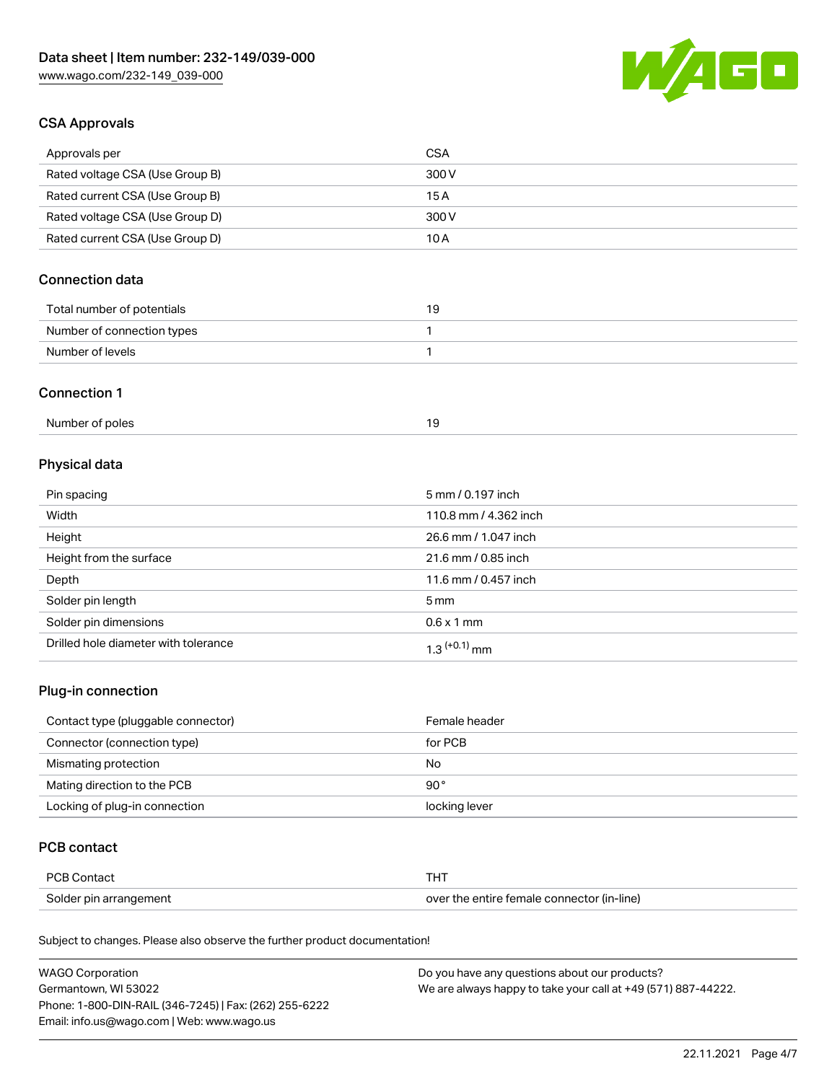

# CSA Approvals

| Approvals per                   | CSA   |
|---------------------------------|-------|
| Rated voltage CSA (Use Group B) | 300 V |
| Rated current CSA (Use Group B) | 15 A  |
| Rated voltage CSA (Use Group D) | 300 V |
| Rated current CSA (Use Group D) | 10 A  |

# Connection data

| Total number of potentials | ıУ |
|----------------------------|----|
| Number of connection types |    |
| Number of levels           |    |

#### Connection 1

# Physical data

| Pin spacing                          | 5 mm / 0.197 inch     |
|--------------------------------------|-----------------------|
| Width                                | 110.8 mm / 4.362 inch |
| Height                               | 26.6 mm / 1.047 inch  |
| Height from the surface              | 21.6 mm / 0.85 inch   |
| Depth                                | 11.6 mm / 0.457 inch  |
| Solder pin length                    | $5 \,\mathrm{mm}$     |
| Solder pin dimensions                | $0.6 \times 1$ mm     |
| Drilled hole diameter with tolerance | $1.3$ $(+0.1)$ mm     |

# Plug-in connection

| Contact type (pluggable connector) | Female header |
|------------------------------------|---------------|
| Connector (connection type)        | for PCB       |
| Mismating protection               | No            |
| Mating direction to the PCB        | $90^{\circ}$  |
| Locking of plug-in connection      | locking lever |

# PCB contact

| PCB Contact            |                                            |
|------------------------|--------------------------------------------|
| Solder pin arrangement | over the entire female connector (in-line) |

Subject to changes. Please also observe the further product documentation!

| <b>WAGO Corporation</b>                                | Do you have any questions about our products?                 |
|--------------------------------------------------------|---------------------------------------------------------------|
| Germantown, WI 53022                                   | We are always happy to take your call at +49 (571) 887-44222. |
| Phone: 1-800-DIN-RAIL (346-7245)   Fax: (262) 255-6222 |                                                               |
| Email: info.us@wago.com   Web: www.wago.us             |                                                               |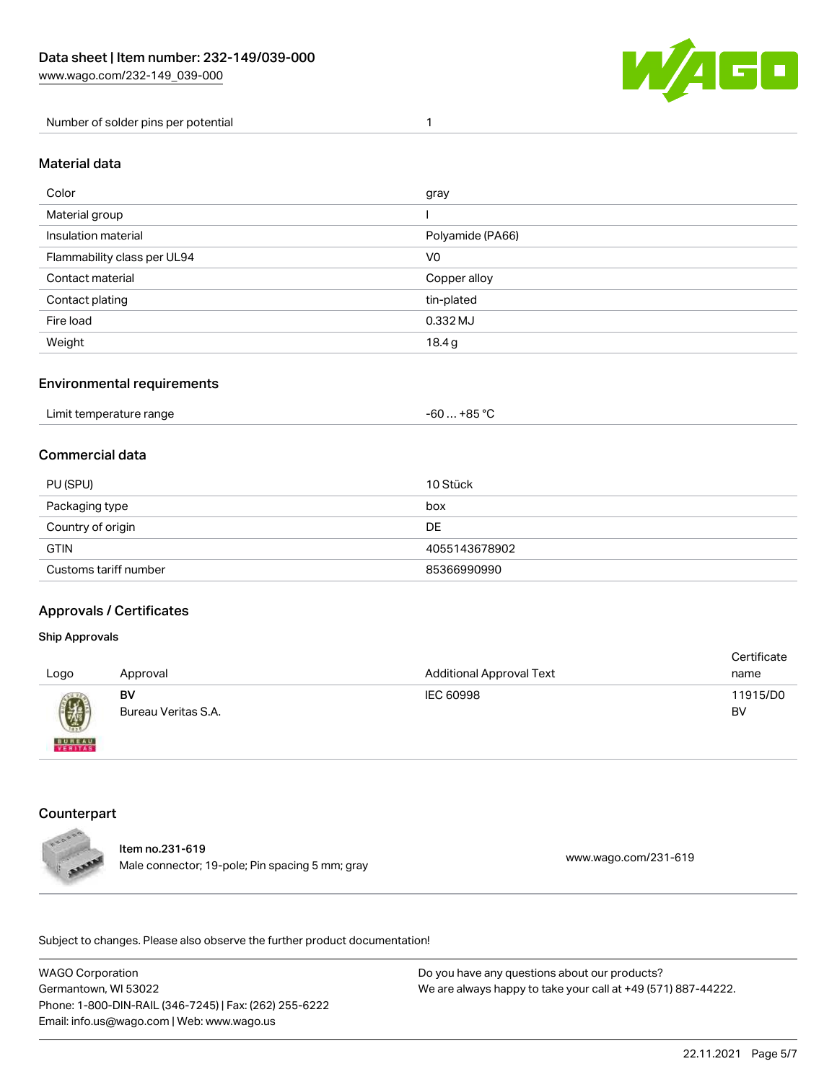

Number of solder pins per potential 1

#### Material data

| Color                       | gray             |
|-----------------------------|------------------|
| Material group              |                  |
| Insulation material         | Polyamide (PA66) |
| Flammability class per UL94 | V <sub>0</sub>   |
| Contact material            | Copper alloy     |
| Contact plating             | tin-plated       |
| Fire load                   | 0.332 MJ         |
| Weight                      | 18.4g            |

## Environmental requirements

| Limit temperature range<br>the contract of the contract of the contract of the contract of the contract of the contract of the contract of | +85 °ົ<br>-60 |  |
|--------------------------------------------------------------------------------------------------------------------------------------------|---------------|--|
|--------------------------------------------------------------------------------------------------------------------------------------------|---------------|--|

## Commercial data

| PU (SPU)              | 10 Stück      |
|-----------------------|---------------|
| Packaging type        | box           |
| Country of origin     | DE            |
| <b>GTIN</b>           | 4055143678902 |
| Customs tariff number | 85366990990   |

#### Approvals / Certificates

#### Ship Approvals

| Logo                                                                 | Approval                  | <b>Additional Approval Text</b> | Certificate<br>name |
|----------------------------------------------------------------------|---------------------------|---------------------------------|---------------------|
| $\left(\!\!\left.\begin{array}{c} y\end{array}\!\!\right\!\!\right)$ | BV<br>Bureau Veritas S.A. | IEC 60998                       | 11915/D0<br>BV      |
| <b>BUREAU</b>                                                        |                           |                                 |                     |

# **Counterpart**



Item no.231-619 Male connector; 19-pole; Pin spacing 5 mm; gray [www.wago.com/231-619](https://www.wago.com/231-619)

.<br>Subject to changes. Please also observe the further product documentation!

WAGO Corporation Germantown, WI 53022 Phone: 1-800-DIN-RAIL (346-7245) | Fax: (262) 255-6222 Email: info.us@wago.com | Web: www.wago.us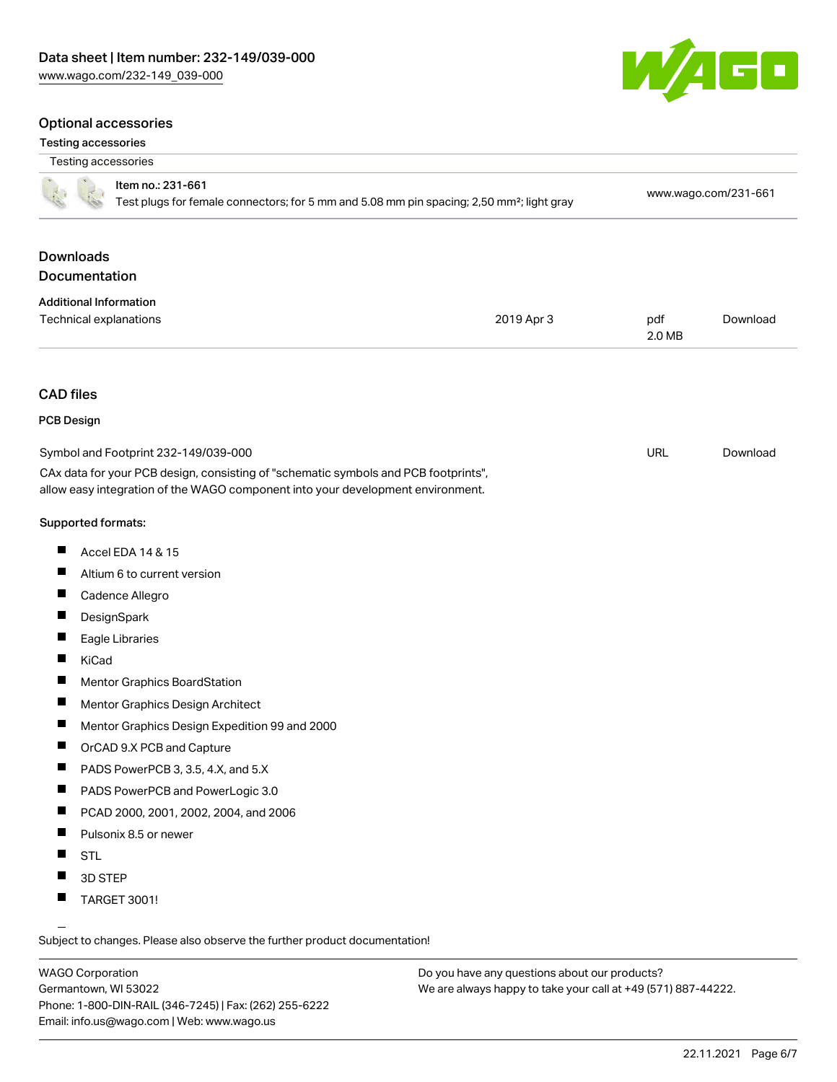#### Optional accessories

#### Testing accessories



| Testing accessories                                                                                                                                                                                            |            |                      |          |
|----------------------------------------------------------------------------------------------------------------------------------------------------------------------------------------------------------------|------------|----------------------|----------|
| Item no.: 231-661<br>Test plugs for female connectors; for 5 mm and 5.08 mm pin spacing; 2,50 mm <sup>2</sup> ; light gray                                                                                     |            | www.wago.com/231-661 |          |
| <b>Downloads</b><br>Documentation                                                                                                                                                                              |            |                      |          |
|                                                                                                                                                                                                                |            |                      |          |
| <b>Additional Information</b><br>Technical explanations                                                                                                                                                        | 2019 Apr 3 | pdf<br>2.0 MB        | Download |
| <b>CAD files</b>                                                                                                                                                                                               |            |                      |          |
| <b>PCB Design</b>                                                                                                                                                                                              |            |                      |          |
| Symbol and Footprint 232-149/039-000<br>CAx data for your PCB design, consisting of "schematic symbols and PCB footprints",<br>allow easy integration of the WAGO component into your development environment. |            | <b>URL</b>           | Download |
| Supported formats:                                                                                                                                                                                             |            |                      |          |
| п<br>Accel EDA 14 & 15                                                                                                                                                                                         |            |                      |          |
| $\blacksquare$<br>Altium 6 to current version                                                                                                                                                                  |            |                      |          |
| ш<br>Cadence Allegro                                                                                                                                                                                           |            |                      |          |
| DesignSpark                                                                                                                                                                                                    |            |                      |          |
| Eagle Libraries                                                                                                                                                                                                |            |                      |          |
| П<br><b>KiCad</b>                                                                                                                                                                                              |            |                      |          |
| <b>Mentor Graphics BoardStation</b>                                                                                                                                                                            |            |                      |          |
| ш<br>Mentor Graphics Design Architect                                                                                                                                                                          |            |                      |          |
| Mentor Graphics Design Expedition 99 and 2000<br>ш                                                                                                                                                             |            |                      |          |
| П<br>OrCAD 9.X PCB and Capture                                                                                                                                                                                 |            |                      |          |
| П<br>PADS PowerPCB 3, 3.5, 4.X, and 5.X                                                                                                                                                                        |            |                      |          |
| PADS PowerPCB and PowerLogic 3.0                                                                                                                                                                               |            |                      |          |
| ш<br>PCAD 2000, 2001, 2002, 2004, and 2006                                                                                                                                                                     |            |                      |          |
| Pulsonix 8.5 or newer                                                                                                                                                                                          |            |                      |          |
| <b>STL</b>                                                                                                                                                                                                     |            |                      |          |
| 3D STEP                                                                                                                                                                                                        |            |                      |          |
| <b>TARGET 3001!</b>                                                                                                                                                                                            |            |                      |          |

Subject to changes. Please also observe the further product documentation!

WAGO Corporation Germantown, WI 53022 Phone: 1-800-DIN-RAIL (346-7245) | Fax: (262) 255-6222 Email: info.us@wago.com | Web: www.wago.us